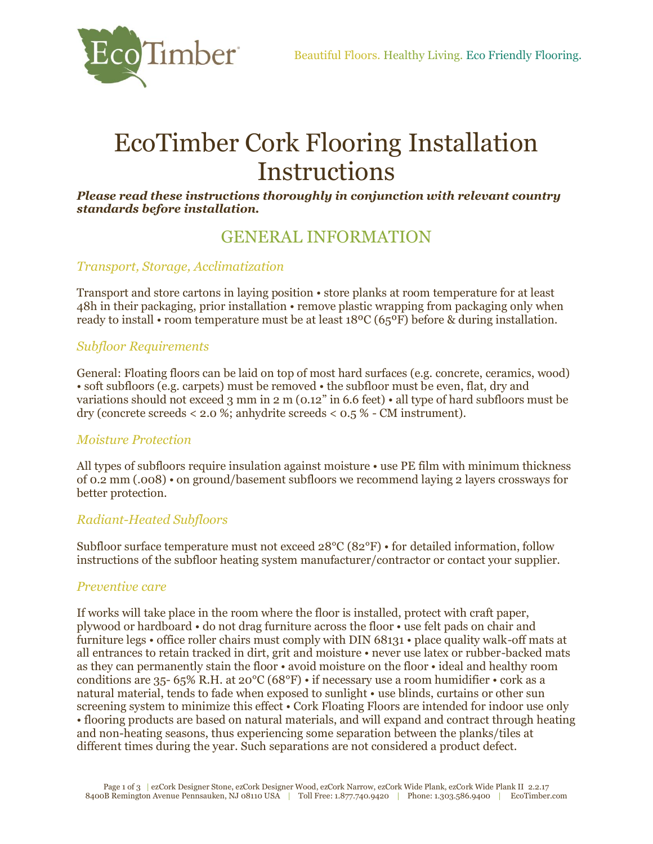

# EcoTimber Cork Flooring Installation **Instructions**

*Please read these instructions thoroughly in conjunction with relevant country standards before installation.* 

# GENERAL INFORMATION

### *Transport, Storage, Acclimatization*

Transport and store cartons in laying position • store planks at room temperature for at least 48h in their packaging, prior installation • remove plastic wrapping from packaging only when ready to install • room temperature must be at least 18ºC (65ºF) before & during installation.

### *Subfloor Requirements*

General: Floating floors can be laid on top of most hard surfaces (e.g. concrete, ceramics, wood) • soft subfloors (e.g. carpets) must be removed • the subfloor must be even, flat, dry and variations should not exceed 3 mm in 2 m (0.12" in 6.6 feet) • all type of hard subfloors must be dry (concrete screeds < 2.0 %; anhydrite screeds < 0.5 % - CM instrument).

### *Moisture Protection*

All types of subfloors require insulation against moisture • use PE film with minimum thickness of 0.2 mm (.008) • on ground/basement subfloors we recommend laying 2 layers crossways for better protection.

### *Radiant-Heated Subfloors*

Subfloor surface temperature must not exceed 28°C (82°F) • for detailed information, follow instructions of the subfloor heating system manufacturer/contractor or contact your supplier.

### *Preventive care*

If works will take place in the room where the floor is installed, protect with craft paper, plywood or hardboard • do not drag furniture across the floor • use felt pads on chair and furniture legs • office roller chairs must comply with DIN 68131 • place quality walk-off mats at all entrances to retain tracked in dirt, grit and moisture • never use latex or rubber-backed mats as they can permanently stain the floor • avoid moisture on the floor • ideal and healthy room conditions are 35- 65% R.H. at 20°C (68°F) • if necessary use a room humidifier • cork as a natural material, tends to fade when exposed to sunlight • use blinds, curtains or other sun screening system to minimize this effect • Cork Floating Floors are intended for indoor use only • flooring products are based on natural materials, and will expand and contract through heating and non-heating seasons, thus experiencing some separation between the planks/tiles at different times during the year. Such separations are not considered a product defect.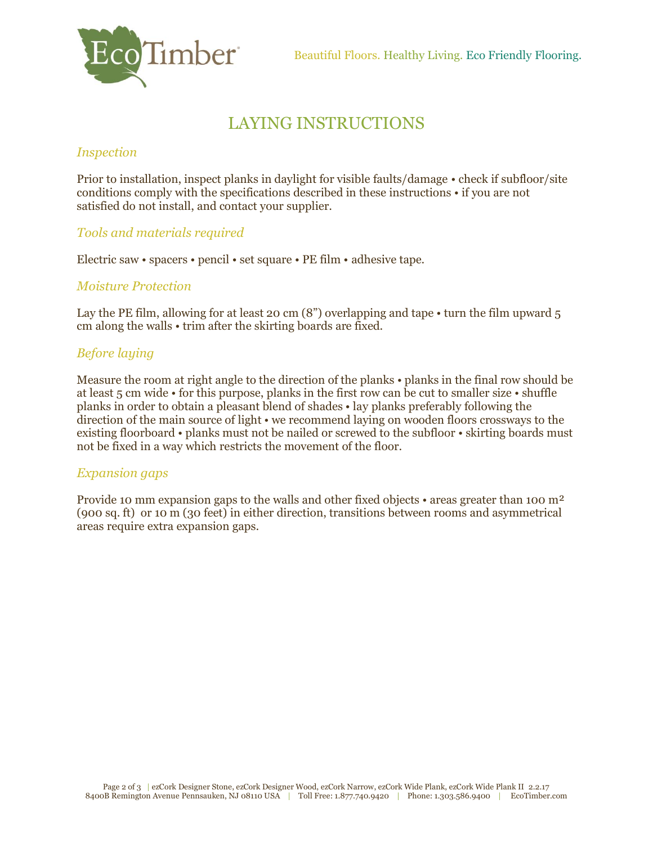

# LAYING INSTRUCTIONS

# *Inspection*

Prior to installation, inspect planks in daylight for visible faults/damage • check if subfloor/site conditions comply with the specifications described in these instructions • if you are not satisfied do not install, and contact your supplier.

# *Tools and materials required*

Electric saw • spacers • pencil • set square • PE film • adhesive tape.

# *Moisture Protection*

Lay the PE film, allowing for at least 20 cm  $(8)$  overlapping and tape • turn the film upward 5 cm along the walls • trim after the skirting boards are fixed.

# *Before laying*

Measure the room at right angle to the direction of the planks • planks in the final row should be at least 5 cm wide • for this purpose, planks in the first row can be cut to smaller size • shuffle planks in order to obtain a pleasant blend of shades • lay planks preferably following the direction of the main source of light • we recommend laying on wooden floors crossways to the existing floorboard • planks must not be nailed or screwed to the subfloor • skirting boards must not be fixed in a way which restricts the movement of the floor.

# *Expansion gaps*

Provide 10 mm expansion gaps to the walls and other fixed objects • areas greater than 100 m<sup>2</sup> (900 sq. ft) or 10 m (30 feet) in either direction, transitions between rooms and asymmetrical areas require extra expansion gaps.